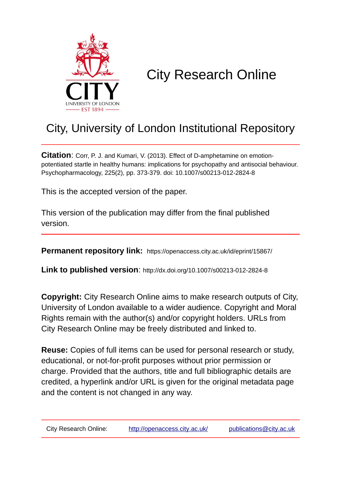

# City Research Online

## City, University of London Institutional Repository

**Citation**: Corr, P. J. and Kumari, V. (2013). Effect of D-amphetamine on emotionpotentiated startle in healthy humans: implications for psychopathy and antisocial behaviour. Psychopharmacology, 225(2), pp. 373-379. doi: 10.1007/s00213-012-2824-8

This is the accepted version of the paper.

This version of the publication may differ from the final published version.

**Permanent repository link:** https://openaccess.city.ac.uk/id/eprint/15867/

**Link to published version**: http://dx.doi.org/10.1007/s00213-012-2824-8

**Copyright:** City Research Online aims to make research outputs of City, University of London available to a wider audience. Copyright and Moral Rights remain with the author(s) and/or copyright holders. URLs from City Research Online may be freely distributed and linked to.

**Reuse:** Copies of full items can be used for personal research or study, educational, or not-for-profit purposes without prior permission or charge. Provided that the authors, title and full bibliographic details are credited, a hyperlink and/or URL is given for the original metadata page and the content is not changed in any way.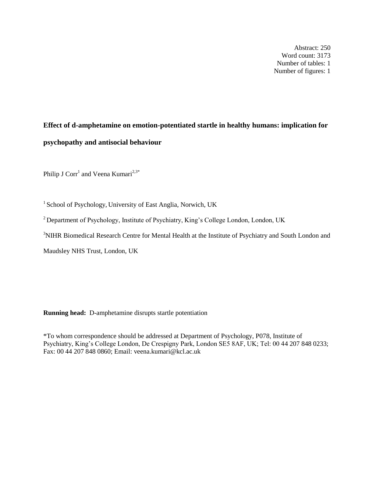Abstract: 250 Word count: 3173 Number of tables: 1 Number of figures: 1

## **Effect of d-amphetamine on emotion-potentiated startle in healthy humans: implication for psychopathy and antisocial behaviour**

Philip J Corr<sup>1</sup> and Veena Kumari<sup>2,3\*</sup>

<sup>1</sup> School of Psychology, University of East Anglia, Norwich, UK

<sup>2</sup> Department of Psychology, Institute of Psychiatry, King's College London, London, UK

<sup>3</sup>NIHR Biomedical Research Centre for Mental Health at the Institute of Psychiatry and South London and

Maudsley NHS Trust, London, UK

**Running head:** D-amphetamine disrupts startle potentiation

\*To whom correspondence should be addressed at Department of Psychology, P078, Institute of Psychiatry, King's College London, De Crespigny Park, London SE5 8AF, UK; Tel: 00 44 207 848 0233; Fax: 00 44 207 848 0860; Email: [veena.kumari@kcl.ac.uk](mailto:veena.kumari@kcl.ac.uk)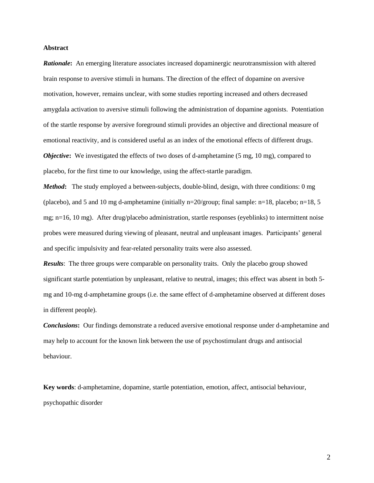#### **Abstract**

*Rationale***:** An emerging literature associates increased dopaminergic neurotransmission with altered brain response to aversive stimuli in humans. The direction of the effect of dopamine on aversive motivation, however, remains unclear, with some studies reporting increased and others decreased amygdala activation to aversive stimuli following the administration of dopamine agonists. Potentiation of the startle response by aversive foreground stimuli provides an objective and directional measure of emotional reactivity, and is considered useful as an index of the emotional effects of different drugs. *Objective*: We investigated the effects of two doses of d-amphetamine (5 mg, 10 mg), compared to placebo, for the first time to our knowledge, using the affect-startle paradigm.

*Method*: The study employed a between-subjects, double-blind, design, with three conditions: 0 mg (placebo), and 5 and 10 mg d-amphetamine (initially n=20/group; final sample: n=18, placebo; n=18, 5 mg; n=16, 10 mg). After drug/placebo administration, startle responses (eyeblinks) to intermittent noise probes were measured during viewing of pleasant, neutral and unpleasant images. Participants' general and specific impulsivity and fear-related personality traits were also assessed.

*Results*: The three groups were comparable on personality traits. Only the placebo group showed significant startle potentiation by unpleasant, relative to neutral, images; this effect was absent in both 5 mg and 10-mg d-amphetamine groups (i.e. the same effect of d-amphetamine observed at different doses in different people).

*Conclusions***:** Our findings demonstrate a reduced aversive emotional response under d-amphetamine and may help to account for the known link between the use of psychostimulant drugs and antisocial behaviour.

**Key words**: d-amphetamine, dopamine, startle potentiation, emotion, affect, antisocial behaviour, psychopathic disorder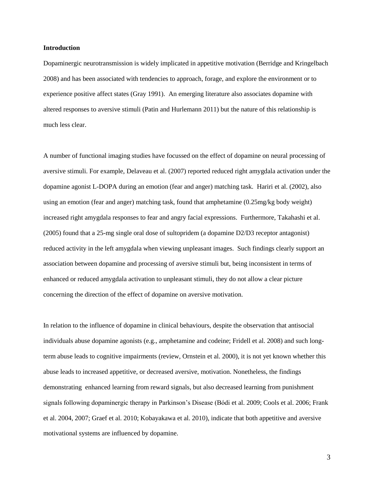#### **Introduction**

Dopaminergic neurotransmission is widely implicated in appetitive motivation (Berridge and Kringelbach 2008) and has been associated with tendencies to approach, forage, and explore the environment or to experience positive affect states (Gray 1991). An emerging literature also associates dopamine with altered responses to aversive stimuli (Patin and Hurlemann 2011) but the nature of this relationship is much less clear.

A number of functional imaging studies have focussed on the effect of dopamine on neural processing of aversive stimuli. For example, Delaveau et al. (2007) reported reduced right amygdala activation under the dopamine agonist L-DOPA during an emotion (fear and anger) matching task. Hariri et al. (2002), also using an emotion (fear and anger) matching task, found that amphetamine (0.25mg/kg body weight) increased right amygdala responses to fear and angry facial expressions. Furthermore, Takahashi et al. (2005) found that a 25-mg single oral dose of sultopridem (a dopamine D2/D3 receptor antagonist) reduced activity in the left amygdala when viewing unpleasant images. Such findings clearly support an association between dopamine and processing of aversive stimuli but, being inconsistent in terms of enhanced or reduced amygdala activation to unpleasant stimuli, they do not allow a clear picture concerning the direction of the effect of dopamine on aversive motivation.

In relation to the influence of dopamine in clinical behaviours, despite the observation that antisocial individuals abuse dopamine agonists (e.g., amphetamine and codeine; Fridell et al. 2008) and such longterm abuse leads to cognitive impairments (review, Ornstein et al. 2000), it is not yet known whether this abuse leads to increased appetitive, or decreased aversive, motivation. Nonetheless, the findings demonstrating enhanced learning from reward signals, but also decreased learning from punishment signals following dopaminergic therapy in Parkinson's Disease (Bódi et al. 2009; Cools et al. 2006; Frank et al. 2004, 2007; Graef et al. 2010; Kobayakawa et al. 2010), indicate that both appetitive and aversive motivational systems are influenced by dopamine.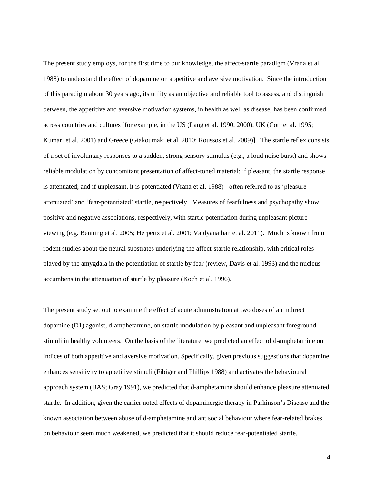The present study employs, for the first time to our knowledge, the affect-startle paradigm (Vrana et al. 1988) to understand the effect of dopamine on appetitive and aversive motivation. Since the introduction of this paradigm about 30 years ago, its utility as an objective and reliable tool to assess, and distinguish between, the appetitive and aversive motivation systems, in health as well as disease, has been confirmed across countries and cultures [for example, in the US (Lang et al. 1990, 2000), UK (Corr et al. 1995; Kumari et al. 2001) and Greece (Giakoumaki et al. 2010; Roussos et al. 2009)]. The startle reflex consists of a set of involuntary responses to a sudden, strong sensory stimulus (e.g., a loud noise burst) and shows reliable modulation by concomitant presentation of affect-toned material: if pleasant, the startle response is attenuated; and if unpleasant, it is potentiated (Vrana et al. 1988) - often referred to as 'pleasureattenuated' and 'fear-potentiated' startle, respectively. Measures of fearfulness and psychopathy show positive and negative associations, respectively, with startle potentiation during unpleasant picture viewing (e.g. Benning et al. 2005; Herpertz et al. 2001; Vaidyanathan et al. 2011). Much is known from rodent studies about the neural substrates underlying the affect-startle relationship, with critical roles played by the amygdala in the potentiation of startle by fear (review, Davis et al. 1993) and the nucleus accumbens in the attenuation of startle by pleasure (Koch et al. 1996).

The present study set out to examine the effect of acute administration at two doses of an indirect dopamine (D1) agonist, d-amphetamine, on startle modulation by pleasant and unpleasant foreground stimuli in healthy volunteers. On the basis of the literature, we predicted an effect of d-amphetamine on indices of both appetitive and aversive motivation. Specifically, given previous suggestions that dopamine enhances sensitivity to appetitive stimuli (Fibiger and Phillips 1988) and activates the behavioural approach system (BAS; Gray 1991), we predicted that d-amphetamine should enhance pleasure attenuated startle. In addition, given the earlier noted effects of dopaminergic therapy in Parkinson's Disease and the known association between abuse of d-amphetamine and antisocial behaviour where fear-related brakes on behaviour seem much weakened, we predicted that it should reduce fear-potentiated startle.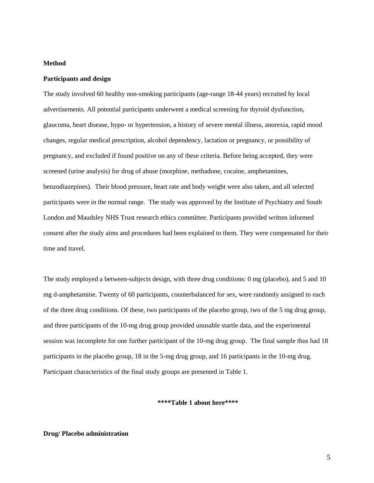#### **Method**

#### **Participants and design**

The study involved 60 healthy non-smoking participants (age-range 18-44 years) recruited by local advertisements. All potential participants underwent a medical screening for thyroid dysfunction, glaucoma, heart disease, hypo- or hypertension, a history of severe mental illness, anorexia, rapid mood changes, regular medical prescription, alcohol dependency, lactation or pregnancy, or possibility of pregnancy, and excluded if found positive on any of these criteria. Before being accepted, they were screened (urine analysis) for drug of abuse (morphine, methadone, cocaine, amphetamines, benzodiazepines). Their blood pressure, heart rate and body weight were also taken, and all selected participants were in the normal range. The study was approved by the Institute of Psychiatry and South London and Maudsley NHS Trust research ethics committee. Participants provided written informed consent after the study aims and procedures had been explained to them. They were compensated for their time and travel.

The study employed a between-subjects design, with three drug conditions: 0 mg (placebo), and 5 and 10 mg d-amphetamine. Twenty of 60 participants, counterbalanced for sex, were randomly assigned to each of the three drug conditions. Of these, two participants of the placebo group, two of the 5 mg drug group, and three participants of the 10-mg drug group provided unusable startle data, and the experimental session was incomplete for one further participant of the 10-mg drug group. The final sample thus had 18 participants in the placebo group, 18 in the 5-mg drug group, and 16 participants in the 10-mg drug. Participant characteristics of the final study groups are presented in Table 1.

#### **\*\*\*\*Table 1 about here\*\*\*\***

#### **Drug/ Placebo administration**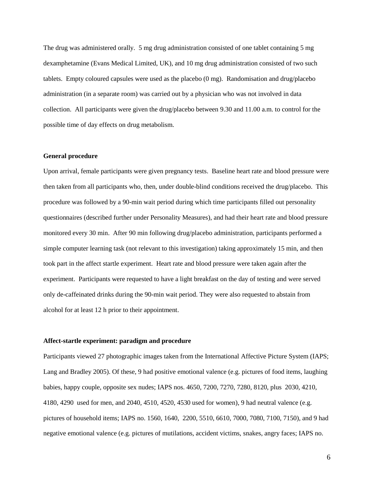The drug was administered orally. 5 mg drug administration consisted of one tablet containing 5 mg dexamphetamine (Evans Medical Limited, UK), and 10 mg drug administration consisted of two such tablets. Empty coloured capsules were used as the placebo (0 mg). Randomisation and drug/placebo administration (in a separate room) was carried out by a physician who was not involved in data collection. All participants were given the drug/placebo between 9.30 and 11.00 a.m. to control for the possible time of day effects on drug metabolism.

#### **General procedure**

Upon arrival, female participants were given pregnancy tests. Baseline heart rate and blood pressure were then taken from all participants who, then, under double-blind conditions received the drug/placebo. This procedure was followed by a 90-min wait period during which time participants filled out personality questionnaires (described further under Personality Measures), and had their heart rate and blood pressure monitored every 30 min. After 90 min following drug/placebo administration, participants performed a simple computer learning task (not relevant to this investigation) taking approximately 15 min, and then took part in the affect startle experiment. Heart rate and blood pressure were taken again after the experiment. Participants were requested to have a light breakfast on the day of testing and were served only de-caffeinated drinks during the 90-min wait period. They were also requested to abstain from alcohol for at least 12 h prior to their appointment.

#### **Affect-startle experiment: paradigm and procedure**

Participants viewed 27 photographic images taken from the International Affective Picture System (IAPS; Lang and Bradley 2005). Of these, 9 had positive emotional valence (e.g. pictures of food items, laughing babies, happy couple, opposite sex nudes; IAPS nos. 4650, 7200, 7270, 7280, 8120, plus 2030, 4210, 4180, 4290 used for men, and 2040, 4510, 4520, 4530 used for women), 9 had neutral valence (e.g. pictures of household items; IAPS no. 1560, 1640, 2200, 5510, 6610, 7000, 7080, 7100, 7150), and 9 had negative emotional valence (e.g. pictures of mutilations, accident victims, snakes, angry faces; IAPS no.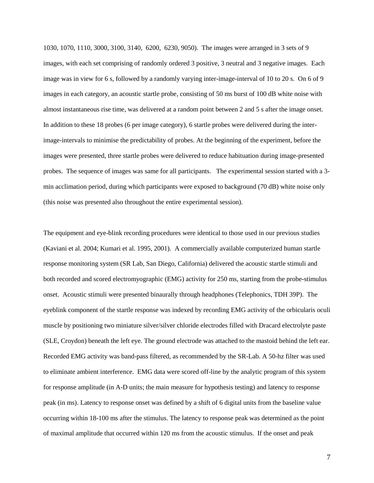1030, 1070, 1110, 3000, 3100, 3140, 6200, 6230, 9050). The images were arranged in 3 sets of 9 images, with each set comprising of randomly ordered 3 positive, 3 neutral and 3 negative images. Each image was in view for 6 s, followed by a randomly varying inter-image-interval of 10 to 20 s. On 6 of 9 images in each category, an acoustic startle probe, consisting of 50 ms burst of 100 dB white noise with almost instantaneous rise time, was delivered at a random point between 2 and 5 s after the image onset. In addition to these 18 probes (6 per image category), 6 startle probes were delivered during the interimage-intervals to minimise the predictability of probes. At the beginning of the experiment, before the images were presented, three startle probes were delivered to reduce habituation during image-presented probes. The sequence of images was same for all participants. The experimental session started with a 3 min acclimation period, during which participants were exposed to background (70 dB) white noise only (this noise was presented also throughout the entire experimental session).

The equipment and eye-blink recording procedures were identical to those used in our previous studies (Kaviani et al. 2004; Kumari et al. 1995, 2001). A commercially available computerized human startle response monitoring system (SR Lab, San Diego, California) delivered the acoustic startle stimuli and both recorded and scored electromyographic (EMG) activity for 250 ms, starting from the probe-stimulus onset. Acoustic stimuli were presented binaurally through headphones (Telephonics, TDH 39P). The eyeblink component of the startle response was indexed by recording EMG activity of the orbicularis oculi muscle by positioning two miniature silver/silver chloride electrodes filled with Dracard electrolyte paste (SLE, Croydon) beneath the left eye. The ground electrode was attached to the mastoid behind the left ear. Recorded EMG activity was band-pass filtered, as recommended by the SR-Lab. A 50-hz filter was used to eliminate ambient interference. EMG data were scored off-line by the analytic program of this system for response amplitude (in A-D units; the main measure for hypothesis testing) and latency to response peak (in ms). Latency to response onset was defined by a shift of 6 digital units from the baseline value occurring within 18-100 ms after the stimulus. The latency to response peak was determined as the point of maximal amplitude that occurred within 120 ms from the acoustic stimulus. If the onset and peak

7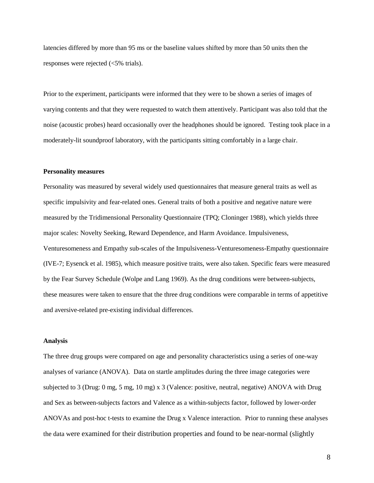latencies differed by more than 95 ms or the baseline values shifted by more than 50 units then the responses were rejected (<5% trials).

Prior to the experiment, participants were informed that they were to be shown a series of images of varying contents and that they were requested to watch them attentively. Participant was also told that the noise (acoustic probes) heard occasionally over the headphones should be ignored. Testing took place in a moderately-lit soundproof laboratory, with the participants sitting comfortably in a large chair.

#### **Personality measures**

Personality was measured by several widely used questionnaires that measure general traits as well as specific impulsivity and fear-related ones. General traits of both a positive and negative nature were measured by the Tridimensional Personality Questionnaire (TPQ; Cloninger 1988), which yields three major scales: Novelty Seeking, Reward Dependence, and Harm Avoidance. Impulsiveness, Venturesomeness and Empathy sub-scales of the Impulsiveness-Venturesomeness-Empathy questionnaire (IVE-7; Eysenck et al. 1985), which measure positive traits, were also taken. Specific fears were measured by the Fear Survey Schedule (Wolpe and Lang 1969). As the drug conditions were between-subjects, these measures were taken to ensure that the three drug conditions were comparable in terms of appetitive and aversive-related pre-existing individual differences.

#### **Analysis**

The three drug groups were compared on age and personality characteristics using a series of one-way analyses of variance (ANOVA). Data on startle amplitudes during the three image categories were subjected to 3 (Drug: 0 mg, 5 mg, 10 mg) x 3 (Valence: positive, neutral, negative) ANOVA with Drug and Sex as between-subjects factors and Valence as a within-subjects factor, followed by lower-order ANOVAs and post-hoc t-tests to examine the Drug x Valence interaction. Prior to running these analyses the data were examined for their distribution properties and found to be near-normal (slightly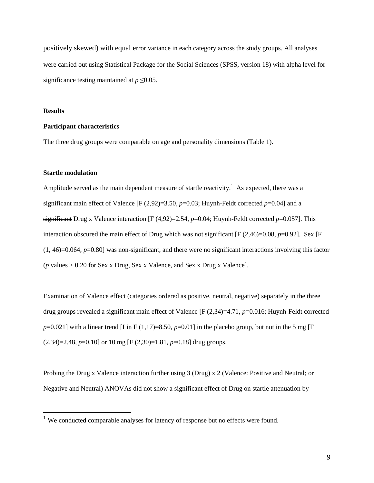positively skewed) with equal error variance in each category across the study groups. All analyses were carried out using Statistical Package for the Social Sciences (SPSS, version 18) with alpha level for significance testing maintained at  $p \leq 0.05$ .

#### **Results**

1

#### **Participant characteristics**

The three drug groups were comparable on age and personality dimensions (Table 1).

#### **Startle modulation**

Amplitude served as the main dependent measure of startle reactivity.<sup>1</sup> As expected, there was a significant main effect of Valence  $[F (2.92)=3.50, p=0.03; Huvnh-Feldt corrected p=0.04]$  and a significant Drug x Valence interaction [F (4,92)=2.54, *p*=0.04; Huynh-Feldt corrected *p*=0.057]. This interaction obscured the main effect of Drug which was not significant [F (2,46)=0.08, *p*=0.92]. Sex [F  $(1, 46) = 0.064$ ,  $p = 0.80$ ] was non-significant, and there were no significant interactions involving this factor (*p* values > 0.20 for Sex x Drug, Sex x Valence, and Sex x Drug x Valence].

Examination of Valence effect (categories ordered as positive, neutral, negative) separately in the three drug groups revealed a significant main effect of Valence [F (2,34)=4.71, *p*=0.016; Huynh-Feldt corrected  $p=0.021$ ] with a linear trend [Lin F (1,17)=8.50,  $p=0.01$ ] in the placebo group, but not in the 5 mg [F  $(2,34)=2.48$ ,  $p=0.10$ ] or 10 mg [F  $(2,30)=1.81$ ,  $p=0.18$ ] drug groups.

Probing the Drug x Valence interaction further using 3 (Drug) x 2 (Valence: Positive and Neutral; or Negative and Neutral) ANOVAs did not show a significant effect of Drug on startle attenuation by

<sup>&</sup>lt;sup>1</sup> We conducted comparable analyses for latency of response but no effects were found.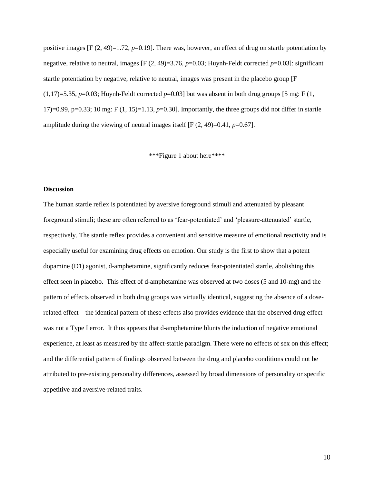positive images [F (2, 49)=1.72, *p*=0.19]. There was, however, an effect of drug on startle potentiation by negative, relative to neutral, images [F (2, 49)=3.76, *p*=0.03; Huynh-Feldt corrected *p*=0.03]: significant startle potentiation by negative, relative to neutral, images was present in the placebo group [F  $(1,17)=5.35, p=0.03$ ; Huynh-Feldt corrected  $p=0.03$ ] but was absent in both drug groups [5 mg: F (1, 17 $=0.99$ ,  $p=0.33$ ; 10 mg; F (1, 15 $=1.13$ ,  $p=0.30$ ]. Importantly, the three groups did not differ in startle amplitude during the viewing of neutral images itself  $[F(2, 49)=0.41, p=0.67]$ .

#### \*\*\*Figure 1 about here\*\*\*\*

#### **Discussion**

The human startle reflex is potentiated by aversive foreground stimuli and attenuated by pleasant foreground stimuli; these are often referred to as 'fear-potentiated' and 'pleasure-attenuated' startle, respectively. The startle reflex provides a convenient and sensitive measure of emotional reactivity and is especially useful for examining drug effects on emotion. Our study is the first to show that a potent dopamine (D1) agonist, d-amphetamine, significantly reduces fear-potentiated startle, abolishing this effect seen in placebo. This effect of d-amphetamine was observed at two doses (5 and 10-mg) and the pattern of effects observed in both drug groups was virtually identical, suggesting the absence of a doserelated effect – the identical pattern of these effects also provides evidence that the observed drug effect was not a Type I error. It thus appears that d-amphetamine blunts the induction of negative emotional experience, at least as measured by the affect-startle paradigm. There were no effects of sex on this effect; and the differential pattern of findings observed between the drug and placebo conditions could not be attributed to pre-existing personality differences, assessed by broad dimensions of personality or specific appetitive and aversive-related traits.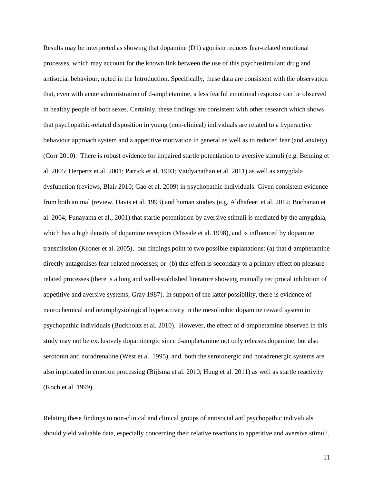Results may be interpreted as showing that dopamine (D1) agonism reduces fear-related emotional processes, which may account for the known link between the use of this psychostimulant drug and antisocial behaviour, noted in the Introduction. Specifically, these data are consistent with the observation that, even with acute administration of d-amphetamine, a less fearful emotional response can be observed in healthy people of both sexes. Certainly, these findings are consistent with other research which shows that psychopathic-related disposition in young (non-clinical) individuals are related to a hyperactive behaviour approach system and a appetitive motivation in general as well as to reduced fear (and anxiety) (Corr 2010). There is robust evidence for impaired startle potentiation to aversive stimuli (e.g. Benning et al. 2005; Herpertz et al. 2001; Patrick et al. 1993; Vaidyanathan et al. 2011) as well as amygdala dysfunction (reviews, Blair 2010; Gao et al. 2009) in psychopathic individuals. Given consistent evidence from both animal (review, Davis et al. 1993) and human studies (e.g. Aldhafeeri et al. 2012; Buchanan et al. 2004; Funayama et al., 2001) that startle potentiation by aversive stimuli is mediated by the amygdala, which has a high density of dopamine receptors (Missale et al. 1998), and is influenced by dopamine transmission (Kroner et al. 2005), our findings point to two possible explanations: (a) that d-amphetamine directly antagonises fear-related processes; or (b) this effect is secondary to a primary effect on pleasurerelated processes (there is a long and well-established literature showing mutually reciprocal inhibition of appetitive and aversive systems; Gray 1987). In support of the latter possibility, there is evidence of neurochemical and neurophysiological hyperactivity in the mesolimbic dopamine reward system in psychopathic individuals (Buckholtz et al*.* 2010). However, the effect of d-amphetamine observed in this study may not be exclusively dopaminergic since d-amphetamine not only releases dopamine, but also serotonin and noradrenaline (West et al. 1995), and both the serotonergic and noradrenergic systems are also implicated in emotion processing (Bijlsma et al. 2010; Hung et al. 2011) as well as startle reactivity (Koch et al. 1999).

Relating these findings to non-clinical and clinical groups of antisocial and psychopathic individuals should yield valuable data, especially concerning their relative reactions to appetitive and aversive stimuli,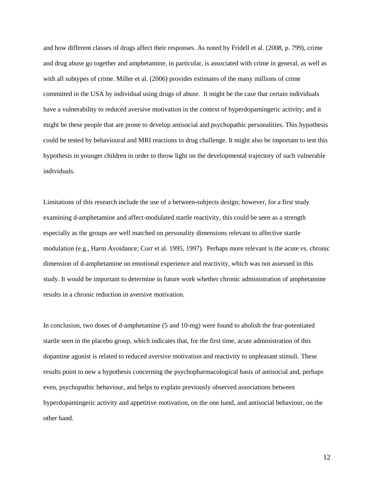and how different classes of drugs affect their responses. As noted by Fridell et al. (2008, p. 799), crime and drug abuse go together and amphetamine, in particular, is associated with crime in general, as well as with all subtypes of crime. Miller et al. (2006) provides estimates of the many millions of crime committed in the USA by individual using drugs of abuse. It might be the case that certain individuals have a vulnerability to reduced aversive motivation in the context of hyperdopamingeric activity; and it might be these people that are prone to develop antisocial and psychopathic personalities. This hypothesis could be tested by behavioural and MRI reactions to drug challenge. It might also be important to test this hypothesis in younger children in order to throw light on the developmental trajectory of such vulnerable individuals.

Limitations of this research include the use of a between-subjects design; however, for a first study examining d-amphetamine and affect-modulated startle reactivity, this could be seen as a strength especially as the groups are well matched on personality dimensions relevant to affective startle modulation (e.g., Harm Avoidance; Corr et al. 1995, 1997). Perhaps more relevant is the acute vs. chronic dimension of d-amphetamine on emotional experience and reactivity, which was not assessed in this study. It would be important to determine in future work whether chronic administration of amphetamine results in a chronic reduction in aversive motivation.

In conclusion, two doses of d-amphetamine (5 and 10-mg) were found to abolish the fear-potentiated startle seen in the placebo group, which indicates that, for the first time, acute administration of this dopamine agonist is related to reduced aversive motivation and reactivity to unpleasant stimuli. These results point to new a hypothesis concerning the psychopharmacological basis of antisocial and, perhaps even, psychopathic behaviour, and helps to explain previously observed associations between hyperdopamingeric activity and appetitive motivation, on the one hand, and antisocial behaviour, on the other hand.

12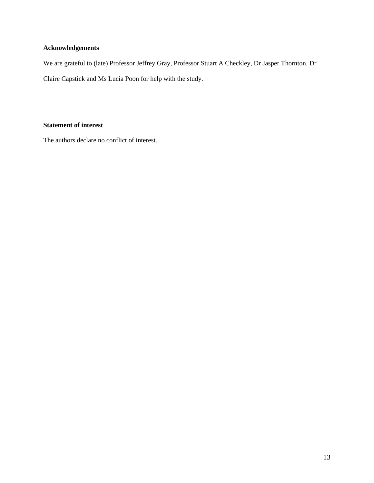#### **Acknowledgements**

We are grateful to (late) Professor Jeffrey Gray, Professor Stuart A Checkley, Dr Jasper Thornton, Dr Claire Capstick and Ms Lucia Poon for help with the study.

#### **Statement of interest**

The authors declare no conflict of interest.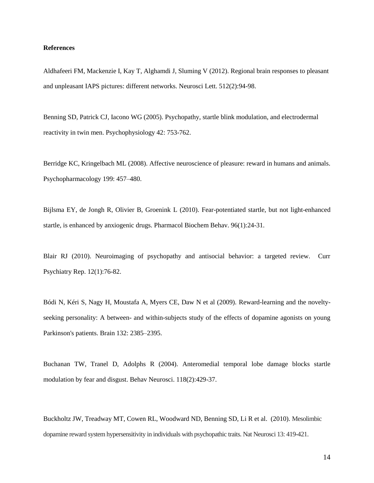#### **References**

Aldhafeeri FM, Mackenzie I, Kay T, Alghamdi J, Sluming V (2012). Regional brain responses to pleasant and unpleasant IAPS pictures: different networks. Neurosci Lett. 512(2):94-98.

Benning SD, Patrick CJ, Iacono WG (2005). Psychopathy, startle blink modulation, and electrodermal reactivity in twin men. Psychophysiology 42: 753-762.

Berridge KC, Kringelbach ML (2008). Affective neuroscience of pleasure: reward in humans and animals. Psychopharmacology 199: 457–480.

Bijlsma EY, de Jongh R, Olivier B, Groenink L (2010). Fear-potentiated startle, but not light-enhanced startle, is enhanced by anxiogenic drugs. Pharmacol Biochem Behav. 96(1):24-31.

Blair RJ (2010). Neuroimaging of psychopathy and antisocial behavior: a targeted review. Curr Psychiatry Rep. 12(1):76-82.

Bódi N, Kéri S, Nagy H, Moustafa A, Myers CE, Daw N et al (2009). Reward-learning and the noveltyseeking personality: A between- and within-subjects study of the effects of dopamine agonists on young Parkinson's patients. Brain 132: 2385–2395.

Buchanan TW, Tranel D, Adolphs R (2004). Anteromedial temporal lobe damage blocks startle modulation by fear and disgust. Behav Neurosci. 118(2):429-37.

Buckholtz JW, Treadway MT, Cowen RL, Woodward ND, Benning SD, Li R et al. (2010). Mesolimbic dopamine reward system hypersensitivity in individuals with psychopathic traits. Nat Neurosci 13: 419-421.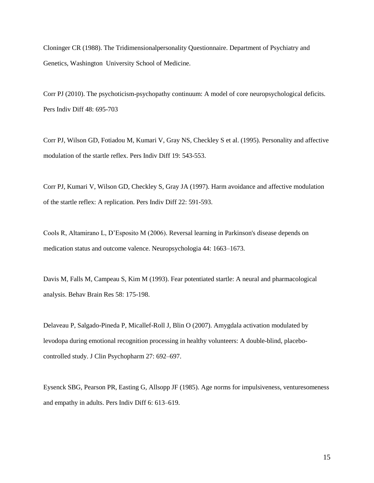Cloninger CR (1988). The Tridimensionalpersonality Questionnaire. Department of Psychiatry and Genetics, Washington University School of Medicine.

Corr PJ (2010). The psychoticism-psychopathy continuum: A model of core neuropsychological deficits. Pers Indiv Diff 48: 695-703

Corr PJ, Wilson GD, Fotiadou M, Kumari V, Gray NS, Checkley S et al. (1995). Personality and affective modulation of the startle reflex. Pers Indiv Diff 19: 543-553.

Corr PJ, Kumari V, Wilson GD, Checkley S, Gray JA (1997). Harm avoidance and affective modulation of the startle reflex: A replication. Pers Indiv Diff 22: 591-593.

Cools R, Altamirano L, D'Esposito M (2006). Reversal learning in Parkinson's disease depends on medication status and outcome valence. Neuropsychologia 44: 1663–1673.

Davis M, Falls M, Campeau S, Kim M (1993). Fear potentiated startle: A neural and pharmacological analysis. Behav Brain Res 58: 175-198.

Delaveau P, Salgado-Pineda P, Micallef-Roll J, Blin O (2007). Amygdala activation modulated by levodopa during emotional recognition processing in healthy volunteers: A double-blind, placebocontrolled study. J Clin Psychopharm 27: 692–697.

Eysenck SBG, Pearson PR, Easting G, Allsopp JF (1985). Age norms for impulsiveness, venturesomeness and empathy in adults. Pers Indiv Diff 6: 613–619.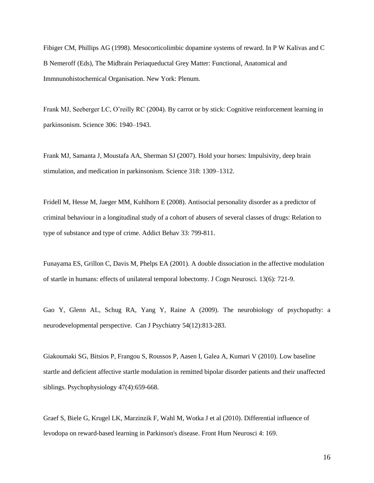Fibiger CM, Phillips AG (1998). Mesocorticolimbic dopamine systems of reward. In P W Kalivas and C B Nemeroff (Eds), The Midbrain Periaqueductal Grey Matter: Functional, Anatomical and Immnunohistochemical Organisation. New York: Plenum.

Frank MJ, Seeberger LC, O'reilly RC (2004). By carrot or by stick: Cognitive reinforcement learning in parkinsonism. Science 306: 1940–1943.

Frank MJ, Samanta J, Moustafa AA, Sherman SJ (2007). Hold your horses: Impulsivity, deep brain stimulation, and medication in parkinsonism. Science 318: 1309–1312.

Fridell M, Hesse M, Jaeger MM, Kuhlhorn E (2008). Antisocial personality disorder as a predictor of criminal behaviour in a longitudinal study of a cohort of abusers of several classes of drugs: Relation to type of substance and type of crime. Addict Behav 33: 799-811.

Funayama ES, Grillon C, Davis M, Phelps EA (2001). A double dissociation in the affective modulation of startle in humans: effects of unilateral temporal lobectomy. J Cogn Neurosci. 13(6): 721-9.

Gao Y, Glenn AL, Schug RA, Yang Y, Raine A (2009). The neurobiology of psychopathy: a neurodevelopmental perspective. Can J Psychiatry 54(12):813-283.

Giakoumaki SG, Bitsios P, Frangou S, Roussos P, Aasen I, Galea A, Kumari V (2010). Low baseline startle and deficient affective startle modulation in remitted bipolar disorder patients and their unaffected siblings. Psychophysiology 47(4):659-668.

Graef S, Biele G, Krugel LK, Marzinzik F, Wahl M, Wotka J et al (2010). Differential influence of levodopa on reward-based learning in Parkinson's disease. Front Hum Neurosci 4: 169.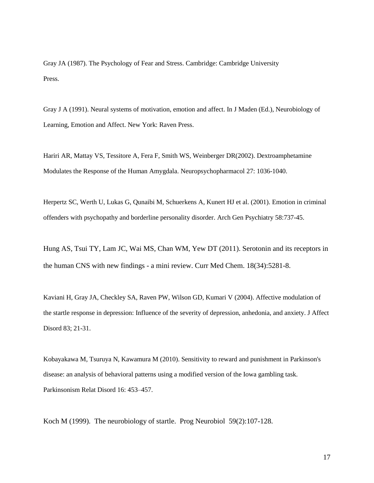Gray JA (1987). The Psychology of Fear and Stress. Cambridge: Cambridge University Press.

Gray J A (1991). Neural systems of motivation, emotion and affect. In J Maden (Ed.), Neurobiology of Learning, Emotion and Affect. New York: Raven Press.

Hariri AR, Mattay VS, Tessitore A, Fera F, Smith WS, Weinberger DR(2002). Dextroamphetamine Modulates the Response of the Human Amygdala. Neuropsychopharmacol 27: 1036-1040.

Herpertz SC, [Werth U,](http://www.ncbi.nlm.nih.gov/pubmed?term=%22Werth%20U%22%5BAuthor%5D) [Lukas G,](http://www.ncbi.nlm.nih.gov/pubmed?term=%22Lukas%20G%22%5BAuthor%5D) [Qunaibi M,](http://www.ncbi.nlm.nih.gov/pubmed?term=%22Qunaibi%20M%22%5BAuthor%5D) [Schuerkens A,](http://www.ncbi.nlm.nih.gov/pubmed?term=%22Schuerkens%20A%22%5BAuthor%5D) [Kunert HJ](http://www.ncbi.nlm.nih.gov/pubmed?term=%22Kunert%20HJ%22%5BAuthor%5D) et al. (2001). Emotion in criminal offenders with psychopathy and borderline personality disorder. Arch Gen Psychiatry 58:737-45.

Hung AS, Tsui TY, Lam JC, Wai MS, Chan WM, Yew DT (2011). Serotonin and its receptors in the human CNS with new findings - a mini review. Curr Med Chem. 18(34):5281-8.

Kaviani H, Gray JA, Checkley SA, Raven PW, Wilson GD, Kumari V (2004). Affective modulation of the startle response in depression: Influence of the severity of depression, anhedonia, and anxiety. J Affect Disord 83; 21-31.

Kobayakawa M, Tsuruya N, Kawamura M (2010). Sensitivity to reward and punishment in Parkinson's disease: an analysis of behavioral patterns using a modified version of the Iowa gambling task. Parkinsonism Relat Disord 16: 453–457.

Koch M (1999). The neurobiology of startle. Prog Neurobiol 59(2):107-128.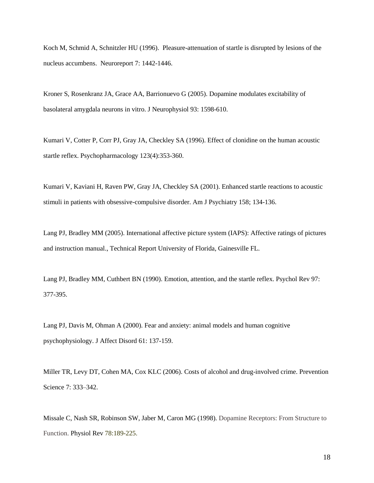Koch M, Schmid A, Schnitzler HU (1996). Pleasure-attenuation of startle is disrupted by lesions of the nucleus accumbens. Neuroreport 7: 1442-1446.

[Kroner S, Rosenkranz JA, Grace AA, Barrionuevo G](http://www.ncbi.nlm.nih.gov/sites/entrez?Db=pubmed&Cmd=ShowDetailView&TermToSearch=15537813&ordinalpos=5&itool=EntrezSystem2.PEntrez.Pubmed.Pubmed_ResultsPanel.Pubmed_RVDocSum) (2005). Dopamine modulates excitability of basolateral amygdala neurons in vitro. J Neurophysiol 93: 1598-610.

Kumari V, Cotter P, Corr PJ, Gray JA, Checkley SA (1996). Effect of clonidine on the human acoustic startle reflex. Psychopharmacology 123(4):353-360.

Kumari V, Kaviani H, Raven PW, Gray JA, Checkley SA (2001). Enhanced startle reactions to acoustic stimuli in patients with obsessive-compulsive disorder. Am J Psychiatry 158; 134-136.

Lang PJ, Bradley MM (2005). International affective picture system (IAPS): Affective ratings of pictures and instruction manual., Technical Report University of Florida, Gainesville FL.

Lang PJ, Bradley MM, Cuthbert BN (1990). Emotion, attention, and the startle reflex. Psychol Rev 97: 377-395.

Lang PJ, Davis M, Ohman A (2000). Fear and anxiety: animal models and human cognitive psychophysiology. J Affect Disord 61: 137-159.

Miller TR, Levy DT, Cohen MA, Cox KLC (2006). Costs of alcohol and drug-involved crime. Prevention Science 7: 333–342.

Missale C, Nash SR, Robinson SW, Jaber M, Caron MG (1998). Dopamine Receptors: From Structure to Function. Physiol Rev 78:189-225.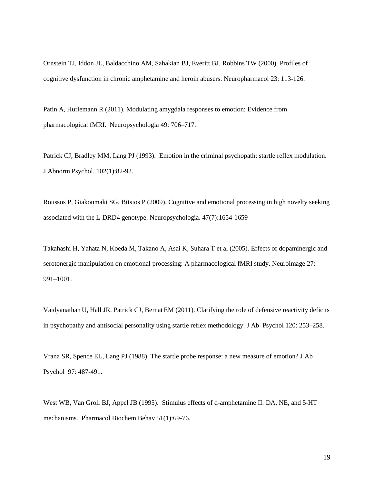Ornstein TJ, Iddon JL, Baldacchino AM, Sahakian BJ, Everitt BJ, Robbins TW (2000). Profiles of cognitive dysfunction in chronic amphetamine and heroin abusers. Neuropharmacol 23: 113-126.

Patin A, Hurlemann R (2011). Modulating amygdala responses to emotion: Evidence from pharmacological fMRI. Neuropsychologia 49: 706–717.

Patrick CJ, Bradley MM, Lang PJ (1993). Emotion in the criminal psychopath: startle reflex modulation. J Abnorm Psychol. 102(1):82-92.

Roussos P, Giakoumaki SG, Bitsios P (2009). Cognitive and emotional processing in high novelty seeking associated with the L-DRD4 genotype. Neuropsychologia. 47(7):1654-1659

Takahashi H, Yahata N, Koeda M, Takano A, Asai K, Suhara T et al (2005). Effects of dopaminergic and serotonergic manipulation on emotional processing: A pharmacological fMRI study. Neuroimage 27: 991–1001.

Vaidyanathan U, Hall JR, Patrick CJ, Bernat EM (2011). Clarifying the role of defensive reactivity deficits in psychopathy and antisocial personality using startle reflex methodology. J Ab Psychol 120: 253–258.

Vrana SR, Spence EL, Lang PJ (1988). The startle probe response: a new measure of emotion? J Ab Psychol 97: 487-491.

West WB, Van Groll BJ, Appel JB (1995). Stimulus effects of d-amphetamine II: DA, NE, and 5-HT mechanisms. Pharmacol Biochem Behav 51(1):69-76.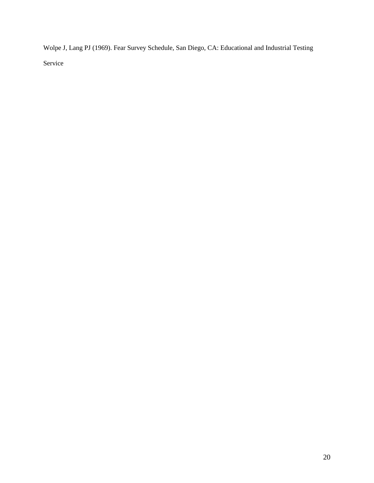Wolpe J, Lang PJ (1969). Fear Survey Schedule, San Diego, CA: Educational and Industrial Testing Service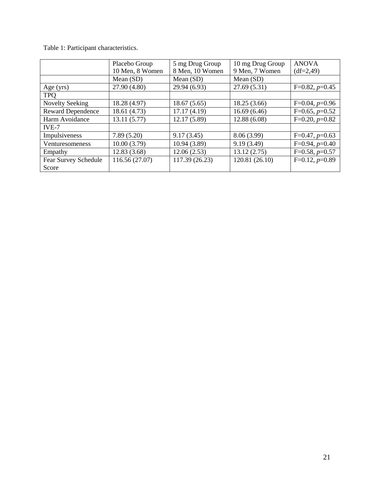Table 1: Participant characteristics.

|                               | Placebo Group<br>10 Men, 8 Women | 5 mg Drug Group<br>8 Men, 10 Women | 10 mg Drug Group<br>9 Men, 7 Women | <b>ANOVA</b><br>$(df=2,49)$ |
|-------------------------------|----------------------------------|------------------------------------|------------------------------------|-----------------------------|
|                               | Mean $(SD)$                      | Mean $(SD)$                        | Mean $(SD)$                        |                             |
| Age $(yrs)$                   | 27.90 (4.80)                     | 29.94 (6.93)                       | 27.69(5.31)                        | $F=0.82, p=0.45$            |
| <b>TPO</b>                    |                                  |                                    |                                    |                             |
| <b>Novelty Seeking</b>        | 18.28 (4.97)                     | 18.67(5.65)                        | 18.25(3.66)                        | $F=0.04, p=0.96$            |
| <b>Reward Dependence</b>      | 18.61 (4.73)                     | 17.17(4.19)                        | 16.69(6.46)                        | $F=0.65, p=0.52$            |
| Harm Avoidance                | 13.11(5.77)                      | 12.17 (5.89)                       | 12.88(6.08)                        | $F=0.20, p=0.82$            |
| $IVE-7$                       |                                  |                                    |                                    |                             |
| Impulsiveness                 | 7.89(5.20)                       | 9.17(3.45)                         | 8.06(3.99)                         | $F=0.47, p=0.63$            |
| Venturesomeness               | 10.00(3.79)                      | 10.94(3.89)                        | 9.19(3.49)                         | $F=0.94, p=0.40$            |
| Empathy                       | 12.83(3.68)                      | 12.06(2.53)                        | 13.12(2.75)                        | $F=0.58, p=0.57$            |
| Fear Survey Schedule<br>Score | 116.56 (27.07)                   | 117.39 (26.23)                     | 120.81 (26.10)                     | $F=0.12, p=0.89$            |